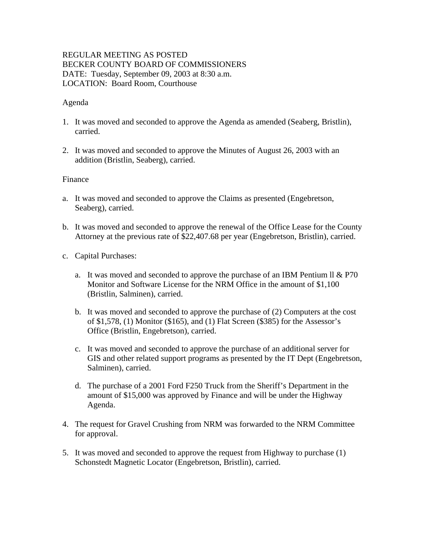# REGULAR MEETING AS POSTED BECKER COUNTY BOARD OF COMMISSIONERS DATE: Tuesday, September 09, 2003 at 8:30 a.m. LOCATION: Board Room, Courthouse

### Agenda

- 1. It was moved and seconded to approve the Agenda as amended (Seaberg, Bristlin), carried.
- 2. It was moved and seconded to approve the Minutes of August 26, 2003 with an addition (Bristlin, Seaberg), carried.

### Finance

- a. It was moved and seconded to approve the Claims as presented (Engebretson, Seaberg), carried.
- b. It was moved and seconded to approve the renewal of the Office Lease for the County Attorney at the previous rate of \$22,407.68 per year (Engebretson, Bristlin), carried.
- c. Capital Purchases:
	- a. It was moved and seconded to approve the purchase of an IBM Pentium II  $& P70$ Monitor and Software License for the NRM Office in the amount of \$1,100 (Bristlin, Salminen), carried.
	- b. It was moved and seconded to approve the purchase of (2) Computers at the cost of \$1,578, (1) Monitor (\$165), and (1) Flat Screen (\$385) for the Assessor's Office (Bristlin, Engebretson), carried.
	- c. It was moved and seconded to approve the purchase of an additional server for GIS and other related support programs as presented by the IT Dept (Engebretson, Salminen), carried.
	- d. The purchase of a 2001 Ford F250 Truck from the Sheriff's Department in the amount of \$15,000 was approved by Finance and will be under the Highway Agenda.
- 4. The request for Gravel Crushing from NRM was forwarded to the NRM Committee for approval.
- 5. It was moved and seconded to approve the request from Highway to purchase (1) Schonstedt Magnetic Locator (Engebretson, Bristlin), carried.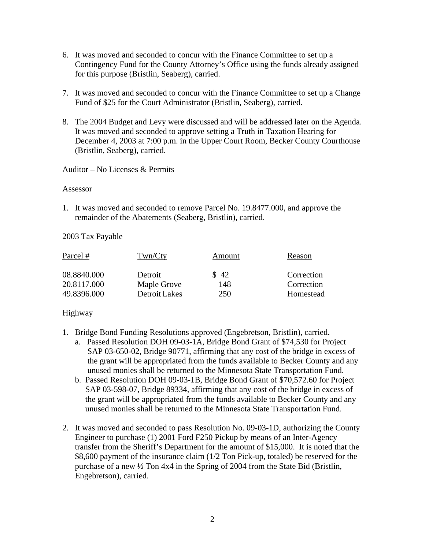- 6. It was moved and seconded to concur with the Finance Committee to set up a Contingency Fund for the County Attorney's Office using the funds already assigned for this purpose (Bristlin, Seaberg), carried.
- 7. It was moved and seconded to concur with the Finance Committee to set up a Change Fund of \$25 for the Court Administrator (Bristlin, Seaberg), carried.
- 8. The 2004 Budget and Levy were discussed and will be addressed later on the Agenda. It was moved and seconded to approve setting a Truth in Taxation Hearing for December 4, 2003 at 7:00 p.m. in the Upper Court Room, Becker County Courthouse (Bristlin, Seaberg), carried.

Auditor – No Licenses & Permits

#### Assessor

1. It was moved and seconded to remove Parcel No. 19.8477.000, and approve the remainder of the Abatements (Seaberg, Bristlin), carried.

### 2003 Tax Payable

| Parcel #    | Twn/Cty       | Amount | Reason     |
|-------------|---------------|--------|------------|
| 08.8840.000 | Detroit       | \$42   | Correction |
| 20.8117.000 | Maple Grove   | 148    | Correction |
| 49.8396.000 | Detroit Lakes | 250    | Homestead  |

# Highway

- 1. Bridge Bond Funding Resolutions approved (Engebretson, Bristlin), carried.
	- a. Passed Resolution DOH 09-03-1A, Bridge Bond Grant of \$74,530 for Project SAP 03-650-02, Bridge 90771, affirming that any cost of the bridge in excess of the grant will be appropriated from the funds available to Becker County and any unused monies shall be returned to the Minnesota State Transportation Fund.
	- b. Passed Resolution DOH 09-03-1B, Bridge Bond Grant of \$70,572.60 for Project SAP 03-598-07, Bridge 89334, affirming that any cost of the bridge in excess of the grant will be appropriated from the funds available to Becker County and any unused monies shall be returned to the Minnesota State Transportation Fund.
- 2. It was moved and seconded to pass Resolution No. 09-03-1D, authorizing the County Engineer to purchase (1) 2001 Ford F250 Pickup by means of an Inter-Agency transfer from the Sheriff's Department for the amount of \$15,000. It is noted that the \$8,600 payment of the insurance claim (1/2 Ton Pick-up, totaled) be reserved for the purchase of a new ½ Ton 4x4 in the Spring of 2004 from the State Bid (Bristlin, Engebretson), carried.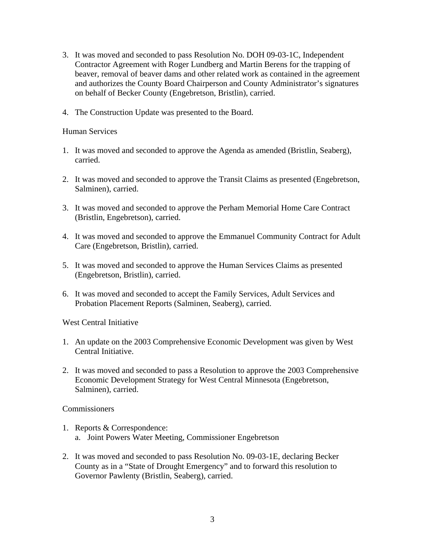- 3. It was moved and seconded to pass Resolution No. DOH 09-03-1C, Independent Contractor Agreement with Roger Lundberg and Martin Berens for the trapping of beaver, removal of beaver dams and other related work as contained in the agreement and authorizes the County Board Chairperson and County Administrator's signatures on behalf of Becker County (Engebretson, Bristlin), carried.
- 4. The Construction Update was presented to the Board.

### Human Services

- 1. It was moved and seconded to approve the Agenda as amended (Bristlin, Seaberg), carried.
- 2. It was moved and seconded to approve the Transit Claims as presented (Engebretson, Salminen), carried.
- 3. It was moved and seconded to approve the Perham Memorial Home Care Contract (Bristlin, Engebretson), carried.
- 4. It was moved and seconded to approve the Emmanuel Community Contract for Adult Care (Engebretson, Bristlin), carried.
- 5. It was moved and seconded to approve the Human Services Claims as presented (Engebretson, Bristlin), carried.
- 6. It was moved and seconded to accept the Family Services, Adult Services and Probation Placement Reports (Salminen, Seaberg), carried.

West Central Initiative

- 1. An update on the 2003 Comprehensive Economic Development was given by West Central Initiative.
- 2. It was moved and seconded to pass a Resolution to approve the 2003 Comprehensive Economic Development Strategy for West Central Minnesota (Engebretson, Salminen), carried.

# **Commissioners**

- 1. Reports & Correspondence: a. Joint Powers Water Meeting, Commissioner Engebretson
- 2. It was moved and seconded to pass Resolution No. 09-03-1E, declaring Becker County as in a "State of Drought Emergency" and to forward this resolution to Governor Pawlenty (Bristlin, Seaberg), carried.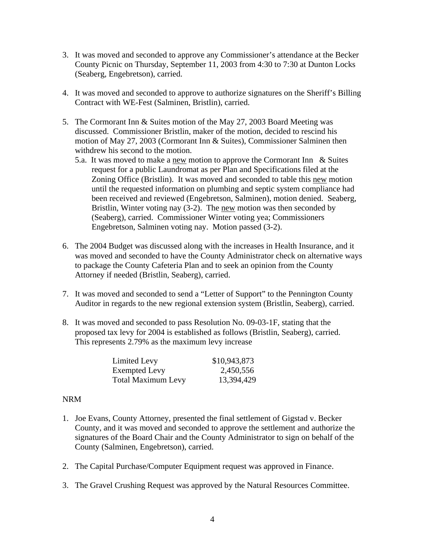- 3. It was moved and seconded to approve any Commissioner's attendance at the Becker County Picnic on Thursday, September 11, 2003 from 4:30 to 7:30 at Dunton Locks (Seaberg, Engebretson), carried.
- 4. It was moved and seconded to approve to authorize signatures on the Sheriff's Billing Contract with WE-Fest (Salminen, Bristlin), carried.
- 5. The Cormorant Inn & Suites motion of the May 27, 2003 Board Meeting was discussed. Commissioner Bristlin, maker of the motion, decided to rescind his motion of May 27, 2003 (Cormorant Inn & Suites), Commissioner Salminen then withdrew his second to the motion.
	- 5.a. It was moved to make a new motion to approve the Cormorant Inn  $&$  Suites request for a public Laundromat as per Plan and Specifications filed at the Zoning Office (Bristlin). It was moved and seconded to table this new motion until the requested information on plumbing and septic system compliance had been received and reviewed (Engebretson, Salminen), motion denied. Seaberg, Bristlin, Winter voting nay (3-2). The new motion was then seconded by (Seaberg), carried. Commissioner Winter voting yea; Commissioners Engebretson, Salminen voting nay. Motion passed (3-2).
- 6. The 2004 Budget was discussed along with the increases in Health Insurance, and it was moved and seconded to have the County Administrator check on alternative ways to package the County Cafeteria Plan and to seek an opinion from the County Attorney if needed (Bristlin, Seaberg), carried.
- 7. It was moved and seconded to send a "Letter of Support" to the Pennington County Auditor in regards to the new regional extension system (Bristlin, Seaberg), carried.
- 8. It was moved and seconded to pass Resolution No. 09-03-1F, stating that the proposed tax levy for 2004 is established as follows (Bristlin, Seaberg), carried. This represents 2.79% as the maximum levy increase

| Limited Levy              | \$10,943,873 |
|---------------------------|--------------|
| <b>Exempted Levy</b>      | 2,450,556    |
| <b>Total Maximum Levy</b> | 13,394,429   |

### NRM

- 1. Joe Evans, County Attorney, presented the final settlement of Gigstad v. Becker County, and it was moved and seconded to approve the settlement and authorize the signatures of the Board Chair and the County Administrator to sign on behalf of the County (Salminen, Engebretson), carried.
- 2. The Capital Purchase/Computer Equipment request was approved in Finance.
- 3. The Gravel Crushing Request was approved by the Natural Resources Committee.